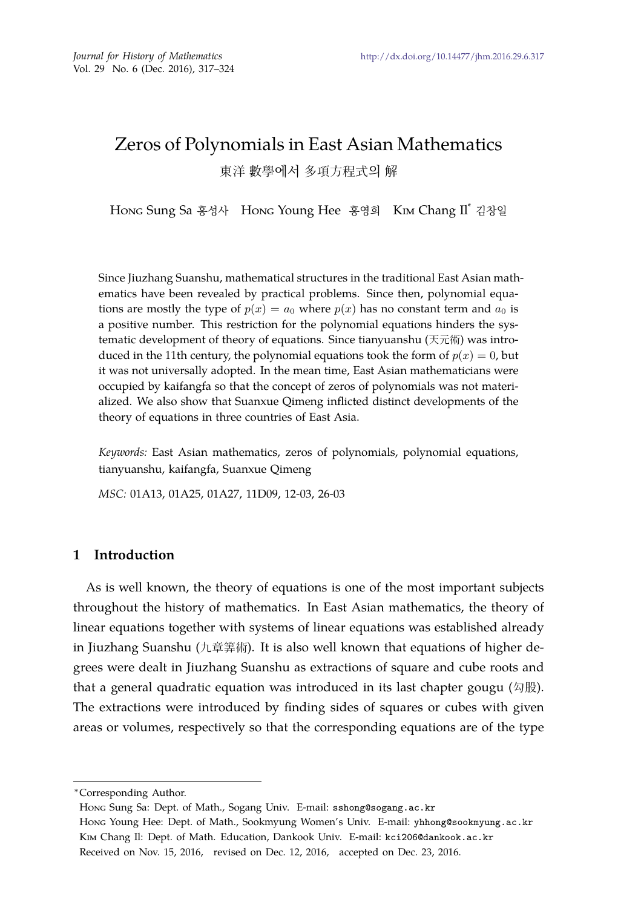# Zeros of Polynomials in East Asian Mathematics

東洋 數學에서 多項方程式의 解

Hong Sung Sa 홍성사 Hong Young Hee 홍영희 Kim Chang Il\* 김창일

Since Jiuzhang Suanshu, mathematical structures in the traditional East Asian mathematics have been revealed by practical problems. Since then, polynomial equations are mostly the type of  $p(x) = a_0$  where  $p(x)$  has no constant term and  $a_0$  is a positive number. This restriction for the polynomial equations hinders the systematic development of theory of equations. Since tianyuanshu (天元術) was introduced in the 11th century, the polynomial equations took the form of  $p(x) = 0$ , but it was not universally adopted. In the mean time, East Asian mathematicians were occupied by kaifangfa so that the concept of zeros of polynomials was not materialized. We also show that Suanxue Qimeng inflicted distinct developments of the theory of equations in three countries of East Asia.

*Keywords:* East Asian mathematics, zeros of polynomials, polynomial equations, tianyuanshu, kaifangfa, Suanxue Qimeng

*MSC:* 01A13, 01A25, 01A27, 11D09, 12-03, 26-03

## **1 Introduction**

As is well known, the theory of equations is one of the most important subjects throughout the history of mathematics. In East Asian mathematics, the theory of linear equations together with systems of linear equations was established already in Jiuzhang Suanshu (九章筭術). It is also well known that equations of higher degrees were dealt in Jiuzhang Suanshu as extractions of square and cube roots and that a general quadratic equation was introduced in its last chapter gougu (勾股). The extractions were introduced by finding sides of squares or cubes with given areas or volumes, respectively so that the corresponding equations are of the type

*<sup>∗</sup>*Corresponding Author.

Hong Sung Sa: Dept. of Math., Sogang Univ. E-mail: sshong@sogang.ac.kr Hong Young Hee: Dept. of Math., Sookmyung Women's Univ. E-mail: yhhong@sookmyung.ac.kr Kim Chang Il: Dept. of Math. Education, Dankook Univ. E-mail: kci206@dankook.ac.kr Received on Nov. 15, 2016, revised on Dec. 12, 2016, accepted on Dec. 23, 2016.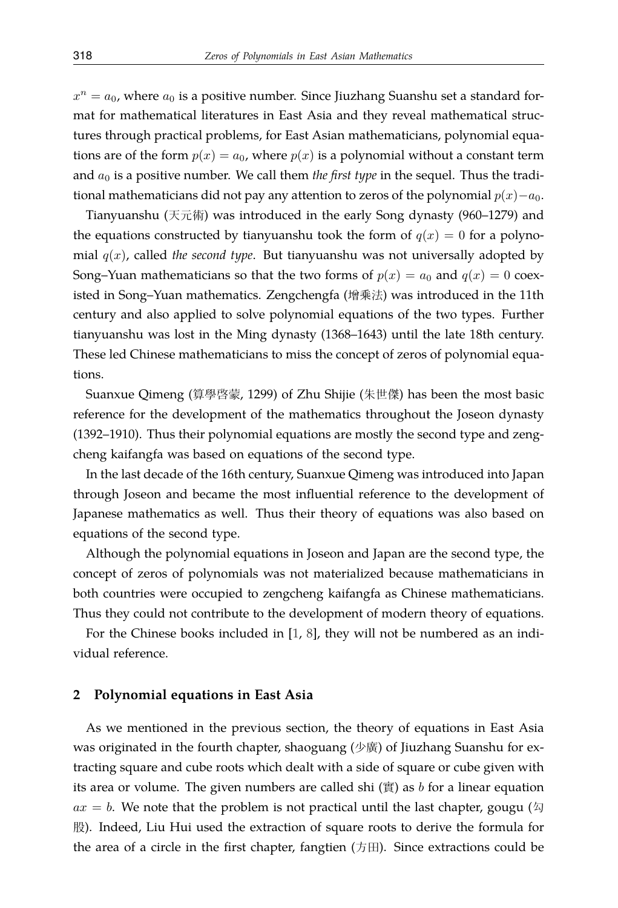$x^n = a_0$ , where  $a_0$  is a positive number. Since Jiuzhang Suanshu set a standard format for mathematical literatures in East Asia and they reveal mathematical structures through practical problems, for East Asian mathematicians, polynomial equations are of the form  $p(x) = a_0$ , where  $p(x)$  is a polynomial without a constant term and *a*<sup>0</sup> is a positive number. We call them *the first type* in the sequel. Thus the traditional mathematicians did not pay any attention to zeros of the polynomial *p*(*x*)*−a*0.

Tianyuanshu (天元術) was introduced in the early Song dynasty (960–1279) and the equations constructed by tianyuanshu took the form of  $q(x) = 0$  for a polynomial  $q(x)$ , called *the second type*. But tianyuanshu was not universally adopted by Song–Yuan mathematicians so that the two forms of  $p(x) = a_0$  and  $q(x) = 0$  coexisted in Song–Yuan mathematics. Zengchengfa (增乘法) was introduced in the 11th century and also applied to solve polynomial equations of the two types. Further tianyuanshu was lost in the Ming dynasty (1368–1643) until the late 18th century. These led Chinese mathematicians to miss the concept of zeros of polynomial equations.

Suanxue Qimeng (算學啓蒙, 1299) of Zhu Shijie (朱世傑) has been the most basic reference for the development of the mathematics throughout the Joseon dynasty (1392–1910). Thus their polynomial equations are mostly the second type and zengcheng kaifangfa was based on equations of the second type.

In the last decade of the 16th century, Suanxue Qimeng was introduced into Japan through Joseon and became the most influential reference to the development of Japanese mathematics as well. Thus their theory of equations was also based on equations of the second type.

Although the polynomial equations in Joseon and Japan are the second type, the concept of zeros of polynomials was not materialized because mathematicians in both countries were occupied to zengcheng kaifangfa as Chinese mathematicians. Thus they could not contribute to the development of modern theory of equations.

For the Chinese books included in [1, 8], they will not be numbered as an individual reference.

### **2 Polynomial equations in East Asia**

As we mentioned in the previous section, the theory of equations in East Asia was originated in the fourth chapter, shaoguang (少廣) of Jiuzhang Suanshu for extracting square and cube roots which dealt with a side of square or cube given with its area or volume. The given numbers are called shi (實) as *b* for a linear equation  $ax = b$ . We note that the problem is not practical until the last chapter, gougu ( $\varphi$ 股). Indeed, Liu Hui used the extraction of square roots to derive the formula for the area of a circle in the first chapter, fangtien  $(\pi \mathbb{H})$ . Since extractions could be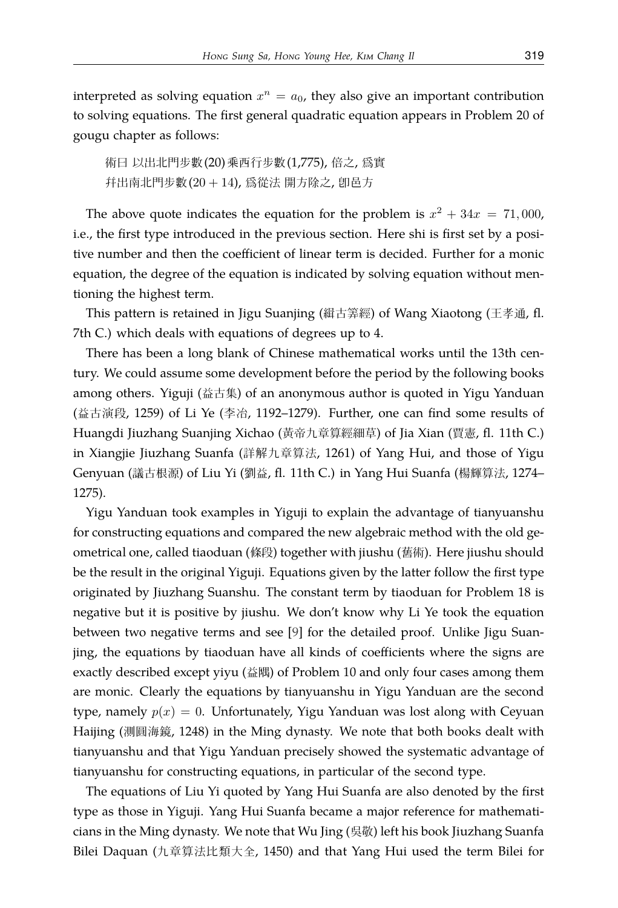interpreted as solving equation  $x^n = a_0$ , they also give an important contribution to solving equations. The first general quadratic equation appears in Problem 20 of gougu chapter as follows:

術曰 以出北門步數(20)乘西行步數(1,775), 倍之, 爲實 幷出南北門步數(20 + 14), 爲從法 開方除之, 卽邑方

The above quote indicates the equation for the problem is  $x^2 + 34x = 71,000$ , i.e., the first type introduced in the previous section. Here shi is first set by a positive number and then the coefficient of linear term is decided. Further for a monic equation, the degree of the equation is indicated by solving equation without mentioning the highest term.

This pattern is retained in Jigu Suanjing (緝古筭經) of Wang Xiaotong (王孝通, fl. 7th C.) which deals with equations of degrees up to 4.

There has been a long blank of Chinese mathematical works until the 13th century. We could assume some development before the period by the following books among others. Yiguji (益古集) of an anonymous author is quoted in Yigu Yanduan (益古演段, 1259) of Li Ye (李冶, 1192–1279). Further, one can find some results of Huangdi Jiuzhang Suanjing Xichao (黃帝九章算經細草) of Jia Xian (賈憲, fl. 11th C.) in Xiangjie Jiuzhang Suanfa (詳解九章算法, 1261) of Yang Hui, and those of Yigu Genyuan (議古根源) of Liu Yi (劉益, fl. 11th C.) in Yang Hui Suanfa (楊輝算法, 1274– 1275).

Yigu Yanduan took examples in Yiguji to explain the advantage of tianyuanshu for constructing equations and compared the new algebraic method with the old geometrical one, called tiaoduan (條段) together with jiushu (舊術). Here jiushu should be the result in the original Yiguji. Equations given by the latter follow the first type originated by Jiuzhang Suanshu. The constant term by tiaoduan for Problem 18 is negative but it is positive by jiushu. We don't know why Li Ye took the equation between two negative terms and see [9] for the detailed proof. Unlike Jigu Suanjing, the equations by tiaoduan have all kinds of coefficients where the signs are exactly described except yiyu (益隅) of Problem 10 and only four cases among them are monic. Clearly the equations by tianyuanshu in Yigu Yanduan are the second type, namely  $p(x) = 0$ . Unfortunately, Yigu Yanduan was lost along with Ceyuan Haijing (測圓海鏡, 1248) in the Ming dynasty. We note that both books dealt with tianyuanshu and that Yigu Yanduan precisely showed the systematic advantage of tianyuanshu for constructing equations, in particular of the second type.

The equations of Liu Yi quoted by Yang Hui Suanfa are also denoted by the first type as those in Yiguji. Yang Hui Suanfa became a major reference for mathematicians in the Ming dynasty. We note that Wu Jing (吳敬) left his book Jiuzhang Suanfa Bilei Daquan (九章算法比類大全, 1450) and that Yang Hui used the term Bilei for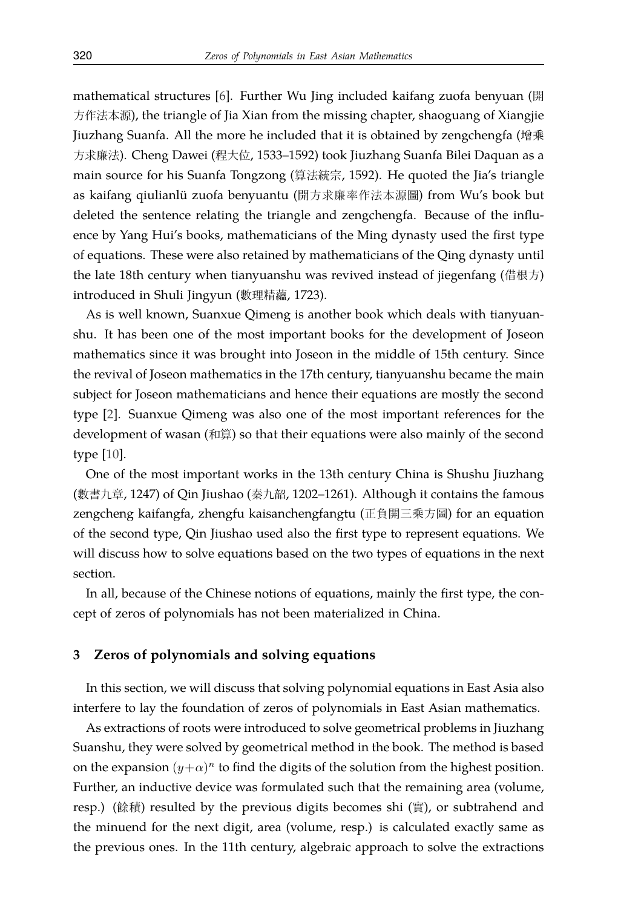mathematical structures [6]. Further Wu Jing included kaifang zuofa benyuan (開 方作法本源), the triangle of Jia Xian from the missing chapter, shaoguang of Xiangjie Jiuzhang Suanfa. All the more he included that it is obtained by zengchengfa (增乘 方求廉法). Cheng Dawei (程大位, 1533–1592) took Jiuzhang Suanfa Bilei Daquan as a main source for his Suanfa Tongzong (算法統宗, 1592). He quoted the Jia's triangle as kaifang qiulianlü zuofa benyuantu (開方求廉率作法本源圖) from Wu's book but deleted the sentence relating the triangle and zengchengfa. Because of the influence by Yang Hui's books, mathematicians of the Ming dynasty used the first type of equations. These were also retained by mathematicians of the Qing dynasty until the late 18th century when tianyuanshu was revived instead of jiegenfang (借根方) introduced in Shuli Jingyun (數理精蘊, 1723).

As is well known, Suanxue Qimeng is another book which deals with tianyuanshu. It has been one of the most important books for the development of Joseon mathematics since it was brought into Joseon in the middle of 15th century. Since the revival of Joseon mathematics in the 17th century, tianyuanshu became the main subject for Joseon mathematicians and hence their equations are mostly the second type [2]. Suanxue Qimeng was also one of the most important references for the development of wasan (和算) so that their equations were also mainly of the second type [10].

One of the most important works in the 13th century China is Shushu Jiuzhang (數書九章, 1247) of Qin Jiushao (秦九韶, 1202–1261). Although it contains the famous zengcheng kaifangfa, zhengfu kaisanchengfangtu (正負開三乘方圖) for an equation of the second type, Qin Jiushao used also the first type to represent equations. We will discuss how to solve equations based on the two types of equations in the next section.

In all, because of the Chinese notions of equations, mainly the first type, the concept of zeros of polynomials has not been materialized in China.

## **3 Zeros of polynomials and solving equations**

In this section, we will discuss that solving polynomial equations in East Asia also interfere to lay the foundation of zeros of polynomials in East Asian mathematics.

As extractions of roots were introduced to solve geometrical problems in Jiuzhang Suanshu, they were solved by geometrical method in the book. The method is based on the expansion  $(y+\alpha)^n$  to find the digits of the solution from the highest position. Further, an inductive device was formulated such that the remaining area (volume, resp.) (餘積) resulted by the previous digits becomes shi (實), or subtrahend and the minuend for the next digit, area (volume, resp.) is calculated exactly same as the previous ones. In the 11th century, algebraic approach to solve the extractions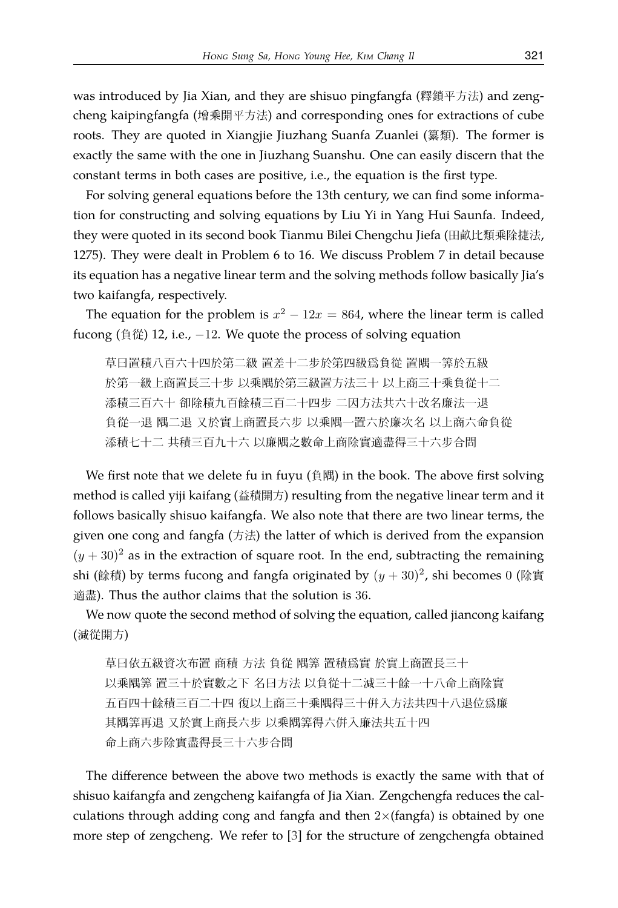was introduced by Jia Xian, and they are shisuo pingfangfa (釋鎖平方法) and zengcheng kaipingfangfa (增乘開平方法) and corresponding ones for extractions of cube roots. They are quoted in Xiangjie Jiuzhang Suanfa Zuanlei (纂類). The former is exactly the same with the one in Jiuzhang Suanshu. One can easily discern that the constant terms in both cases are positive, i.e., the equation is the first type.

For solving general equations before the 13th century, we can find some information for constructing and solving equations by Liu Yi in Yang Hui Saunfa. Indeed, they were quoted in its second book Tianmu Bilei Chengchu Jiefa (田畝比類乘除捷法, 1275). They were dealt in Problem 6 to 16. We discuss Problem 7 in detail because its equation has a negative linear term and the solving methods follow basically Jia's two kaifangfa, respectively.

The equation for the problem is  $x^2 - 12x = 864$ , where the linear term is called fucong (負從) 12, i.e., *−*12. We quote the process of solving equation

草曰置積八百六十四於第二級 置差十二步於第四級爲負從 置隅一筭於五級 於第一級上商置長三十步 以乘隅於第三級置方法三十 以上商三十乘負從十二 添積三百六十 卻除積九百餘積三百二十四步 二因方法共六十改名廉法一退 負從一退 隅二退 又於實上商置長六步 以乘隅一置六於廉次名 以上商六命負從 添積七十二 共積三百九十六 以廉隅之數命上商除實適盡得三十六步合問

We first note that we delete fu in fuyu (負隅) in the book. The above first solving method is called yiji kaifang (益積開方) resulting from the negative linear term and it follows basically shisuo kaifangfa. We also note that there are two linear terms, the given one cong and fangfa (方法) the latter of which is derived from the expansion  $(y+30)^2$  as in the extraction of square root. In the end, subtracting the remaining shi (餘積) by terms fucong and fangfa originated by  $(y + 30)^2$ , shi becomes 0 (除實 適盡). Thus the author claims that the solution is 36.

We now quote the second method of solving the equation, called jiancong kaifang (減從開方)

草曰依五級資次布置 商積 方法 負從 隅筭 置積爲實 於實上商置長三十 以乘隅筭 置三十於實數之下 名曰方法 以負從十二減三十餘一十八命上商除實 五百四十餘積三百二十四 復以上商三十乘隅得三十倂入方法共四十八退位爲廉 其隅筭再退 又於實上商長六步 以乘隅筭得六倂入廉法共五十四 命上商六步除實盡得長三十六步合問

The difference between the above two methods is exactly the same with that of shisuo kaifangfa and zengcheng kaifangfa of Jia Xian. Zengchengfa reduces the calculations through adding cong and fangfa and then 2*×*(fangfa) is obtained by one more step of zengcheng. We refer to [3] for the structure of zengchengfa obtained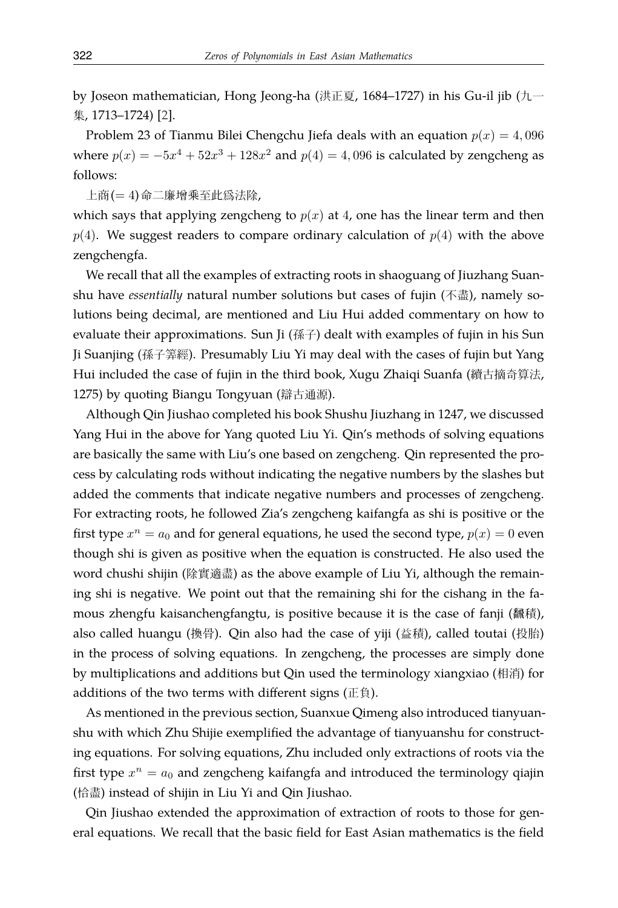by Joseon mathematician, Hong Jeong-ha (洪正夏, 1684–1727) in his Gu-il jib (九一 集, 1713–1724) [2].

Problem 23 of Tianmu Bilei Chengchu Jiefa deals with an equation  $p(x) = 4,096$ where  $p(x) = -5x^4 + 52x^3 + 128x^2$  and  $p(4) = 4,096$  is calculated by zengcheng as follows:

上商(= 4)命二廉增乘至此爲法除,

which says that applying zengcheng to  $p(x)$  at 4, one has the linear term and then  $p(4)$ . We suggest readers to compare ordinary calculation of  $p(4)$  with the above zengchengfa.

We recall that all the examples of extracting roots in shaoguang of Jiuzhang Suanshu have *essentially* natural number solutions but cases of fujin (不盡), namely solutions being decimal, are mentioned and Liu Hui added commentary on how to evaluate their approximations. Sun Ji (孫子) dealt with examples of fujin in his Sun Ji Suanjing (孫子筭經). Presumably Liu Yi may deal with the cases of fujin but Yang Hui included the case of fujin in the third book, Xugu Zhaiqi Suanfa (續古摘奇算法, 1275) by quoting Biangu Tongyuan (辯古通源).

Although Qin Jiushao completed his book Shushu Jiuzhang in 1247, we discussed Yang Hui in the above for Yang quoted Liu Yi. Qin's methods of solving equations are basically the same with Liu's one based on zengcheng. Qin represented the process by calculating rods without indicating the negative numbers by the slashes but added the comments that indicate negative numbers and processes of zengcheng. For extracting roots, he followed Zia's zengcheng kaifangfa as shi is positive or the first type  $x^n = a_0$  and for general equations, he used the second type,  $p(x) = 0$  even though shi is given as positive when the equation is constructed. He also used the word chushi shijin (除實適盡) as the above example of Liu Yi, although the remaining shi is negative. We point out that the remaining shi for the cishang in the famous zhengfu kaisanchengfangtu, is positive because it is the case of fanji (飜積), also called huangu (換骨). Qin also had the case of yiji (益積), called toutai (投胎) in the process of solving equations. In zengcheng, the processes are simply done by multiplications and additions but Qin used the terminology xiangxiao (相消) for additions of the two terms with different signs (正負).

As mentioned in the previous section, Suanxue Qimeng also introduced tianyuanshu with which Zhu Shijie exemplified the advantage of tianyuanshu for constructing equations. For solving equations, Zhu included only extractions of roots via the first type  $x^n = a_0$  and zengcheng kaifangfa and introduced the terminology qiajin (恰盡) instead of shijin in Liu Yi and Qin Jiushao.

Qin Jiushao extended the approximation of extraction of roots to those for general equations. We recall that the basic field for East Asian mathematics is the field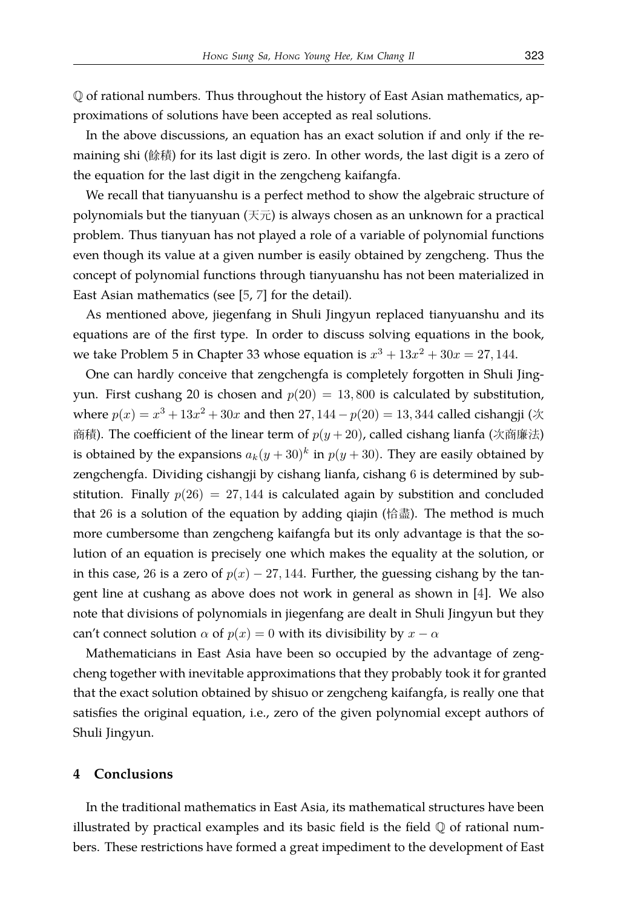Q of rational numbers. Thus throughout the history of East Asian mathematics, approximations of solutions have been accepted as real solutions.

In the above discussions, an equation has an exact solution if and only if the remaining shi (餘積) for its last digit is zero. In other words, the last digit is a zero of the equation for the last digit in the zengcheng kaifangfa.

We recall that tianyuanshu is a perfect method to show the algebraic structure of polynomials but the tianyuan ( $\overline{R}$ ) is always chosen as an unknown for a practical problem. Thus tianyuan has not played a role of a variable of polynomial functions even though its value at a given number is easily obtained by zengcheng. Thus the concept of polynomial functions through tianyuanshu has not been materialized in East Asian mathematics (see [5, 7] for the detail).

As mentioned above, jiegenfang in Shuli Jingyun replaced tianyuanshu and its equations are of the first type. In order to discuss solving equations in the book, we take Problem 5 in Chapter 33 whose equation is  $x^3 + 13x^2 + 30x = 27,144$ .

One can hardly conceive that zengchengfa is completely forgotten in Shuli Jingyun. First cushang 20 is chosen and  $p(20) = 13,800$  is calculated by substitution, *where*  $p(x) = x^3 + 13x^2 + 30x$  and then 27, 144 −  $p(20) = 13,344$  called cishangji (次 商積). The coefficient of the linear term of *p*(*y* + 20), called cishang lianfa (次商廉法) is obtained by the expansions  $a_k(y+30)^k$  in  $p(y+30)$ . They are easily obtained by zengchengfa. Dividing cishangji by cishang lianfa, cishang 6 is determined by substitution. Finally  $p(26) = 27,144$  is calculated again by substition and concluded that 26 is a solution of the equation by adding qiajin (恰盡). The method is much more cumbersome than zengcheng kaifangfa but its only advantage is that the solution of an equation is precisely one which makes the equality at the solution, or in this case, 26 is a zero of  $p(x) - 27$ , 144. Further, the guessing cishang by the tangent line at cushang as above does not work in general as shown in [4]. We also note that divisions of polynomials in jiegenfang are dealt in Shuli Jingyun but they can't connect solution  $\alpha$  of  $p(x) = 0$  with its divisibility by  $x - \alpha$ 

Mathematicians in East Asia have been so occupied by the advantage of zengcheng together with inevitable approximations that they probably took it for granted that the exact solution obtained by shisuo or zengcheng kaifangfa, is really one that satisfies the original equation, i.e., zero of the given polynomial except authors of Shuli Jingyun.

#### **4 Conclusions**

In the traditional mathematics in East Asia, its mathematical structures have been illustrated by practical examples and its basic field is the field  $\mathbb Q$  of rational numbers. These restrictions have formed a great impediment to the development of East